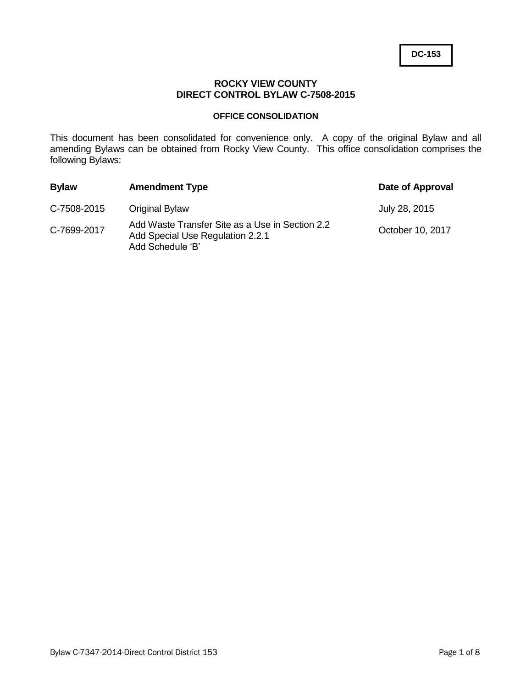## **ROCKY VIEW COUNTY DIRECT CONTROL BYLAW C-7508-2015**

### **OFFICE CONSOLIDATION**

This document has been consolidated for convenience only. A copy of the original Bylaw and all amending Bylaws can be obtained from Rocky View County. This office consolidation comprises the following Bylaws:

| <b>Bylaw</b> | <b>Amendment Type</b>                                                                                   | Date of Approval |
|--------------|---------------------------------------------------------------------------------------------------------|------------------|
| C-7508-2015  | <b>Original Bylaw</b>                                                                                   | July 28, 2015    |
| C-7699-2017  | Add Waste Transfer Site as a Use in Section 2.2<br>Add Special Use Regulation 2.2.1<br>Add Schedule 'B' | October 10, 2017 |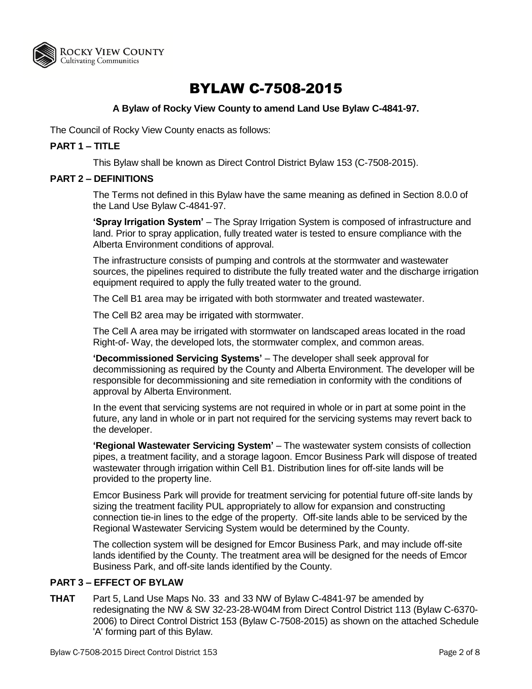

# BYLAW C-7508-2015

## **A Bylaw of Rocky View County to amend Land Use Bylaw C-4841-97.**

The Council of Rocky View County enacts as follows:

## **PART 1 – TITLE**

This Bylaw shall be known as Direct Control District Bylaw 153 (C-7508-2015).

#### **PART 2 – DEFINITIONS**

The Terms not defined in this Bylaw have the same meaning as defined in Section 8.0.0 of the Land Use Bylaw C-4841-97.

**'Spray Irrigation System'** – The Spray Irrigation System is composed of infrastructure and land. Prior to spray application, fully treated water is tested to ensure compliance with the Alberta Environment conditions of approval.

The infrastructure consists of pumping and controls at the stormwater and wastewater sources, the pipelines required to distribute the fully treated water and the discharge irrigation equipment required to apply the fully treated water to the ground.

The Cell B1 area may be irrigated with both stormwater and treated wastewater.

The Cell B2 area may be irrigated with stormwater.

The Cell A area may be irrigated with stormwater on landscaped areas located in the road Right-of- Way, the developed lots, the stormwater complex, and common areas.

**'Decommissioned Servicing Systems'** – The developer shall seek approval for decommissioning as required by the County and Alberta Environment. The developer will be responsible for decommissioning and site remediation in conformity with the conditions of approval by Alberta Environment.

In the event that servicing systems are not required in whole or in part at some point in the future, any land in whole or in part not required for the servicing systems may revert back to the developer.

**'Regional Wastewater Servicing System'** – The wastewater system consists of collection pipes, a treatment facility, and a storage lagoon. Emcor Business Park will dispose of treated wastewater through irrigation within Cell B1. Distribution lines for off-site lands will be provided to the property line.

Emcor Business Park will provide for treatment servicing for potential future off-site lands by sizing the treatment facility PUL appropriately to allow for expansion and constructing connection tie-in lines to the edge of the property. Off-site lands able to be serviced by the Regional Wastewater Servicing System would be determined by the County.

The collection system will be designed for Emcor Business Park, and may include off-site lands identified by the County. The treatment area will be designed for the needs of Emcor Business Park, and off-site lands identified by the County.

#### **PART 3 – EFFECT OF BYLAW**

**THAT** Part 5, Land Use Maps No. 33 and 33 NW of Bylaw C-4841-97 be amended by redesignating the NW & SW 32-23-28-W04M from Direct Control District 113 (Bylaw C-6370- 2006) to Direct Control District 153 (Bylaw C-7508-2015) as shown on the attached Schedule 'A' forming part of this Bylaw.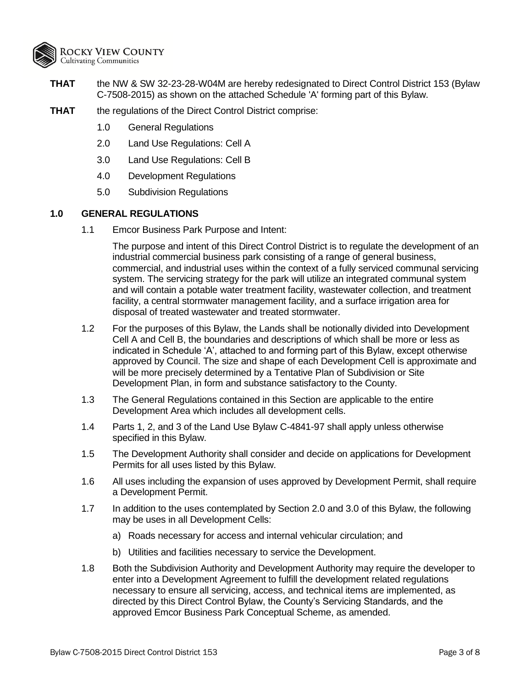

- **THAT** the NW & SW 32-23-28-W04M are hereby redesignated to Direct Control District 153 (Bylaw C-7508-2015) as shown on the attached Schedule 'A' forming part of this Bylaw.
- **THAT** the regulations of the Direct Control District comprise:
	- 1.0 General Regulations
	- 2.0 Land Use Regulations: Cell A
	- 3.0 Land Use Regulations: Cell B
	- 4.0 Development Regulations
	- 5.0 Subdivision Regulations

### **1.0 GENERAL REGULATIONS**

1.1 Emcor Business Park Purpose and Intent:

The purpose and intent of this Direct Control District is to regulate the development of an industrial commercial business park consisting of a range of general business, commercial, and industrial uses within the context of a fully serviced communal servicing system. The servicing strategy for the park will utilize an integrated communal system and will contain a potable water treatment facility, wastewater collection, and treatment facility, a central stormwater management facility, and a surface irrigation area for disposal of treated wastewater and treated stormwater.

- 1.2 For the purposes of this Bylaw, the Lands shall be notionally divided into Development Cell A and Cell B, the boundaries and descriptions of which shall be more or less as indicated in Schedule 'A', attached to and forming part of this Bylaw, except otherwise approved by Council. The size and shape of each Development Cell is approximate and will be more precisely determined by a Tentative Plan of Subdivision or Site Development Plan, in form and substance satisfactory to the County.
- 1.3 The General Regulations contained in this Section are applicable to the entire Development Area which includes all development cells.
- 1.4 Parts 1, 2, and 3 of the Land Use Bylaw C-4841-97 shall apply unless otherwise specified in this Bylaw.
- 1.5 The Development Authority shall consider and decide on applications for Development Permits for all uses listed by this Bylaw.
- 1.6 All uses including the expansion of uses approved by Development Permit, shall require a Development Permit.
- 1.7 In addition to the uses contemplated by Section 2.0 and 3.0 of this Bylaw, the following may be uses in all Development Cells:
	- a) Roads necessary for access and internal vehicular circulation; and
	- b) Utilities and facilities necessary to service the Development.
- 1.8 Both the Subdivision Authority and Development Authority may require the developer to enter into a Development Agreement to fulfill the development related regulations necessary to ensure all servicing, access, and technical items are implemented, as directed by this Direct Control Bylaw, the County's Servicing Standards, and the approved Emcor Business Park Conceptual Scheme, as amended.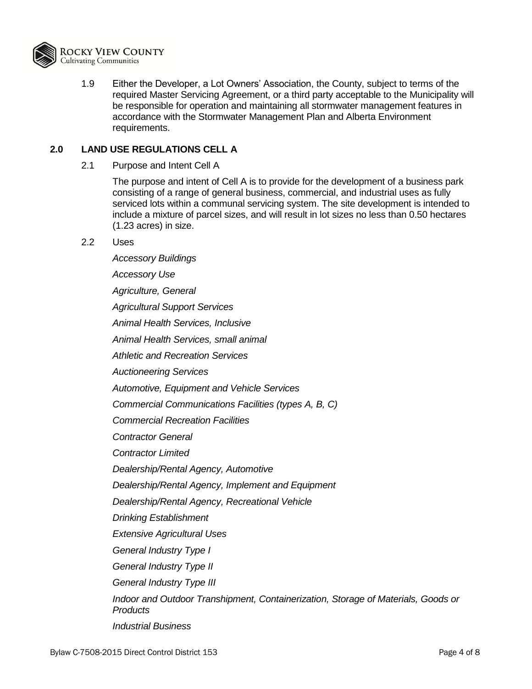

1.9 Either the Developer, a Lot Owners' Association, the County, subject to terms of the required Master Servicing Agreement, or a third party acceptable to the Municipality will be responsible for operation and maintaining all stormwater management features in accordance with the Stormwater Management Plan and Alberta Environment requirements.

## **2.0 LAND USE REGULATIONS CELL A**

2.1 Purpose and Intent Cell A

The purpose and intent of Cell A is to provide for the development of a business park consisting of a range of general business, commercial, and industrial uses as fully serviced lots within a communal servicing system. The site development is intended to include a mixture of parcel sizes, and will result in lot sizes no less than 0.50 hectares (1.23 acres) in size.

#### 2.2 Uses

*Accessory Buildings Accessory Use Agriculture, General Agricultural Support Services Animal Health Services, Inclusive Animal Health Services, small animal Athletic and Recreation Services Auctioneering Services Automotive, Equipment and Vehicle Services Commercial Communications Facilities (types A, B, C) Commercial Recreation Facilities Contractor General Contractor Limited Dealership/Rental Agency, Automotive Dealership/Rental Agency, Implement and Equipment Dealership/Rental Agency, Recreational Vehicle Drinking Establishment Extensive Agricultural Uses General Industry Type I General Industry Type II General Industry Type III Indoor and Outdoor Transhipment, Containerization, Storage of Materials, Goods or Products Industrial Business*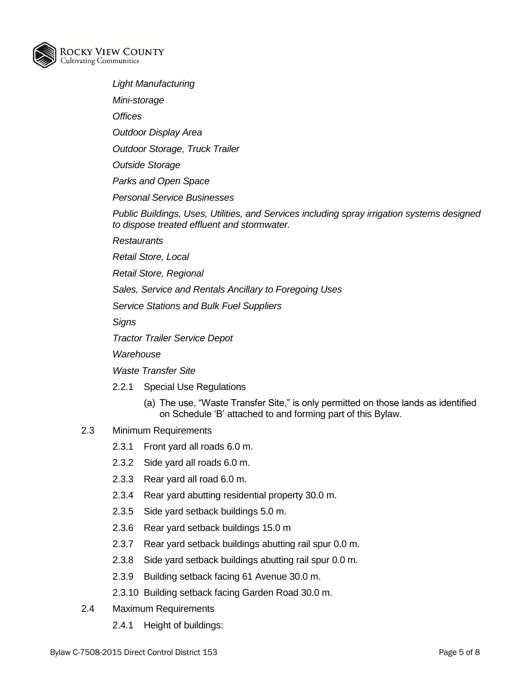

- *Light Manufacturing*
- *Mini-storage*

*Offices*

*Outdoor Display Area*

*Outdoor Storage, Truck Trailer*

*Outside Storage* 

*Parks and Open Space*

*Personal Service Businesses*

*Public Buildings, Uses, Utilities, and Services including spray irrigation systems designed to dispose treated effluent and stormwater.*

*Restaurants*

*Retail Store, Local*

*Retail Store, Regional* 

*Sales, Service and Rentals Ancillary to Foregoing Uses*

*Service Stations and Bulk Fuel Suppliers*

*Signs*

*Tractor Trailer Service Depot*

*Warehouse*

*Waste Transfer Site*

- 2.2.1 Special Use Regulations
	- (a) The use, "Waste Transfer Site," is only permitted on those lands as identified on Schedule 'B' attached to and forming part of this Bylaw.

## 2.3 Minimum Requirements

- 2.3.1 Front yard all roads 6.0 m.
- 2.3.2 Side yard all roads 6.0 m.
- 2.3.3 Rear yard all road 6.0 m.
- 2.3.4 Rear yard abutting residential property 30.0 m.
- 2.3.5 Side yard setback buildings 5.0 m.
- 2.3.6 Rear yard setback buildings 15.0 m
- 2.3.7 Rear yard setback buildings abutting rail spur 0.0 m.
- 2.3.8 Side yard setback buildings abutting rail spur 0.0 m.
- 2.3.9 Building setback facing 61 Avenue 30.0 m.
- 2.3.10 Building setback facing Garden Road 30.0 m.
- 2.4 Maximum Requirements
	- 2.4.1 Height of buildings: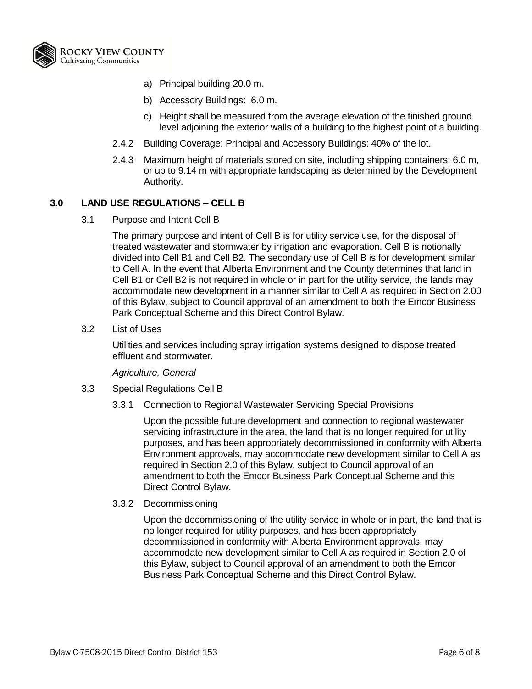

- a) Principal building 20.0 m.
- b) Accessory Buildings: 6.0 m.
- c) Height shall be measured from the average elevation of the finished ground level adjoining the exterior walls of a building to the highest point of a building.
- 2.4.2 Building Coverage: Principal and Accessory Buildings: 40% of the lot.
- 2.4.3 Maximum height of materials stored on site, including shipping containers: 6.0 m, or up to 9.14 m with appropriate landscaping as determined by the Development Authority.

#### **3.0 LAND USE REGULATIONS – CELL B**

3.1 Purpose and Intent Cell B

The primary purpose and intent of Cell B is for utility service use, for the disposal of treated wastewater and stormwater by irrigation and evaporation. Cell B is notionally divided into Cell B1 and Cell B2. The secondary use of Cell B is for development similar to Cell A. In the event that Alberta Environment and the County determines that land in Cell B1 or Cell B2 is not required in whole or in part for the utility service, the lands may accommodate new development in a manner similar to Cell A as required in Section 2.00 of this Bylaw, subject to Council approval of an amendment to both the Emcor Business Park Conceptual Scheme and this Direct Control Bylaw.

3.2 List of Uses

Utilities and services including spray irrigation systems designed to dispose treated effluent and stormwater.

*Agriculture, General*

- 3.3 Special Regulations Cell B
	- 3.3.1 Connection to Regional Wastewater Servicing Special Provisions

Upon the possible future development and connection to regional wastewater servicing infrastructure in the area, the land that is no longer required for utility purposes, and has been appropriately decommissioned in conformity with Alberta Environment approvals, may accommodate new development similar to Cell A as required in Section 2.0 of this Bylaw, subject to Council approval of an amendment to both the Emcor Business Park Conceptual Scheme and this Direct Control Bylaw.

3.3.2 Decommissioning

Upon the decommissioning of the utility service in whole or in part, the land that is no longer required for utility purposes, and has been appropriately decommissioned in conformity with Alberta Environment approvals, may accommodate new development similar to Cell A as required in Section 2.0 of this Bylaw, subject to Council approval of an amendment to both the Emcor Business Park Conceptual Scheme and this Direct Control Bylaw.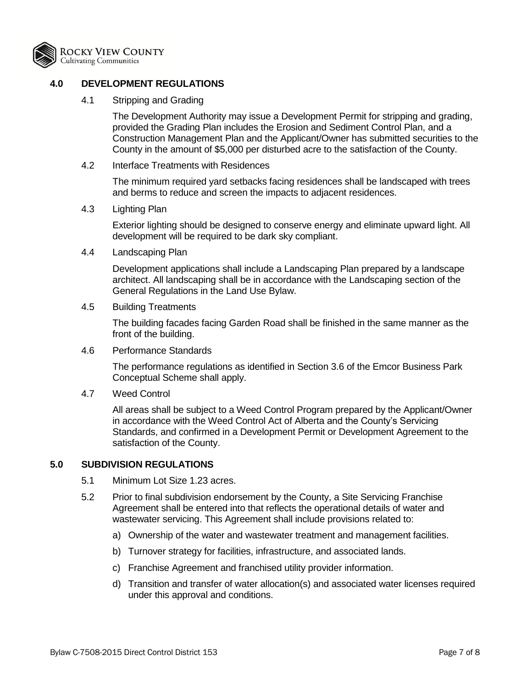

## **4.0 DEVELOPMENT REGULATIONS**

4.1 Stripping and Grading

The Development Authority may issue a Development Permit for stripping and grading, provided the Grading Plan includes the Erosion and Sediment Control Plan, and a Construction Management Plan and the Applicant/Owner has submitted securities to the County in the amount of \$5,000 per disturbed acre to the satisfaction of the County.

4.2 Interface Treatments with Residences

The minimum required yard setbacks facing residences shall be landscaped with trees and berms to reduce and screen the impacts to adjacent residences.

4.3 Lighting Plan

Exterior lighting should be designed to conserve energy and eliminate upward light. All development will be required to be dark sky compliant.

4.4 Landscaping Plan

Development applications shall include a Landscaping Plan prepared by a landscape architect. All landscaping shall be in accordance with the Landscaping section of the General Regulations in the Land Use Bylaw.

4.5 Building Treatments

The building facades facing Garden Road shall be finished in the same manner as the front of the building.

4.6 Performance Standards

The performance regulations as identified in Section 3.6 of the Emcor Business Park Conceptual Scheme shall apply.

4.7 Weed Control

All areas shall be subject to a Weed Control Program prepared by the Applicant/Owner in accordance with the Weed Control Act of Alberta and the County's Servicing Standards, and confirmed in a Development Permit or Development Agreement to the satisfaction of the County.

## **5.0 SUBDIVISION REGULATIONS**

- 5.1 Minimum Lot Size 1.23 acres.
- 5.2 Prior to final subdivision endorsement by the County, a Site Servicing Franchise Agreement shall be entered into that reflects the operational details of water and wastewater servicing. This Agreement shall include provisions related to:
	- a) Ownership of the water and wastewater treatment and management facilities.
	- b) Turnover strategy for facilities, infrastructure, and associated lands.
	- c) Franchise Agreement and franchised utility provider information.
	- d) Transition and transfer of water allocation(s) and associated water licenses required under this approval and conditions.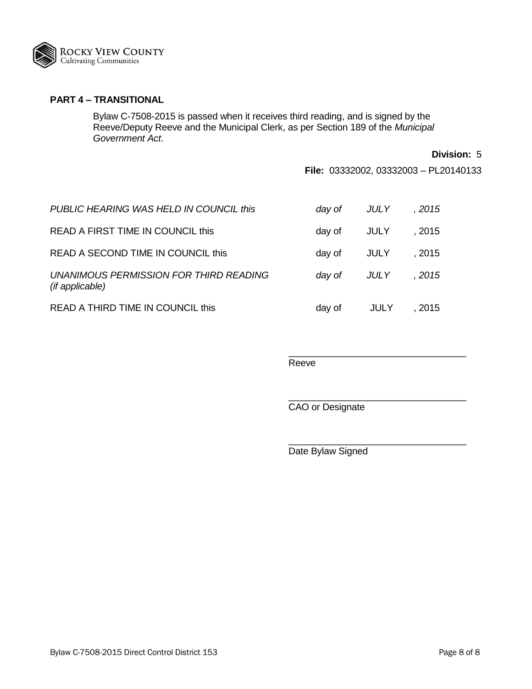

## **PART 4 – TRANSITIONAL**

Bylaw C-7508-2015 is passed when it receives third reading, and is signed by the Reeve/Deputy Reeve and the Municipal Clerk, as per Section 189 of the *Municipal Government Act*.

**Division:** 5

**File:** 03332002, 03332003 – PL20140133

\_\_\_\_\_\_\_\_\_\_\_\_\_\_\_\_\_\_\_\_\_\_\_\_\_\_\_\_\_\_\_\_\_\_

\_\_\_\_\_\_\_\_\_\_\_\_\_\_\_\_\_\_\_\_\_\_\_\_\_\_\_\_\_\_\_\_\_\_

\_\_\_\_\_\_\_\_\_\_\_\_\_\_\_\_\_\_\_\_\_\_\_\_\_\_\_\_\_\_\_\_\_\_

| PUBLIC HEARING WAS HELD IN COUNCIL this                   | day of | JULY | , 2015 |
|-----------------------------------------------------------|--------|------|--------|
| READ A FIRST TIME IN COUNCIL this                         | day of | JULY | . 2015 |
| READ A SECOND TIME IN COUNCIL this                        | day of | JULY | . 2015 |
| UNANIMOUS PERMISSION FOR THIRD READING<br>(if applicable) | day of | JULY | , 2015 |
| READ A THIRD TIME IN COUNCIL this                         | day of | JULY | . 2015 |

#### Reeve

CAO or Designate

Date Bylaw Signed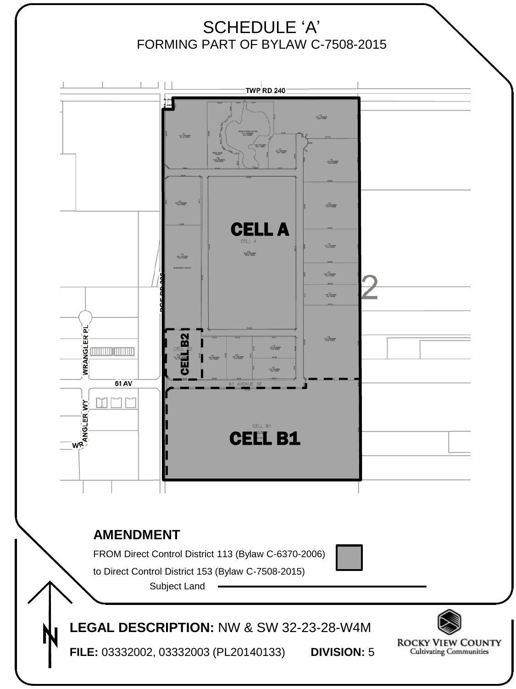# SCHEDULE 'A' FORMING PART OF BYLAW C-7508-2015